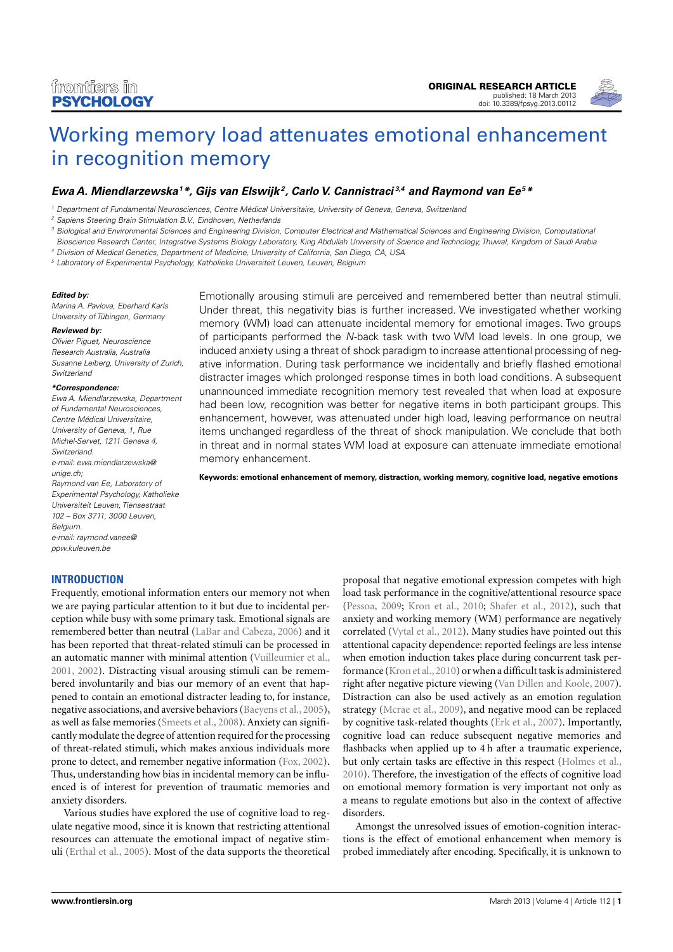

# [Working memory load attenuates emotional enhancement](http://www.frontiersin.org/Emotion_Science/10.3389/fpsyg.2013.00112/abstract) [in recognition memory](http://www.frontiersin.org/Emotion_Science/10.3389/fpsyg.2013.00112/abstract)

# **[Ewa A. Miendlarzewska](http://www.frontiersin.org/Community/WhosWhoActivity.aspx?sname=EwaMiendlarzewska&UID=20430)<sup>1</sup>\*, [Gijs van Elswijk](http://www.frontiersin.org/Community/WhosWhoActivity.aspx?sname=GijsVan_Elswijk&UID=7183) <sup>2</sup> , Carlo V. Cannistraci 3,4 and [Raymond van Ee](http://www.frontiersin.org/people/Raymondvan_Ee/10117)<sup>5</sup>\***

<sup>1</sup> Department of Fundamental Neurosciences, Centre Médical Universitaire, University of Geneva, Geneva, Switzerland

<sup>3</sup> Biological and Environmental Sciences and Engineering Division, Computer Electrical and Mathematical Sciences and Engineering Division, Computational

Bioscience Research Center, Integrative Systems Biology Laboratory, King Abdullah University of Science and Technology, Thuwal, Kingdom of Saudi Arabia

<sup>4</sup> Division of Medical Genetics, Department of Medicine, University of California, San Diego, CA, USA

<sup>5</sup> Laboratory of Experimental Psychology, Katholieke Universiteit Leuven, Leuven, Belgium

#### **Edited by:**

Marina A. Pavlova, Eberhard Karls University of Tübingen, Germany

#### **Reviewed by:**

Olivier Piguet, Neuroscience Research Australia, Australia Susanne Leiberg, University of Zurich, Switzerland

#### **\*Correspondence:**

Ewa A. Miendlarzewska, Department of Fundamental Neurosciences, Centre Médical Universitaire, University of Geneva, 1, Rue Michel-Servet, 1211 Geneva 4, Switzerland. e-mail: [ewa.miendlarzewska@](mailto:ewa.miendlarzewska@unige.ch) [unige.ch;](mailto:ewa.miendlarzewska@unige.ch) Raymond van Ee, Laboratory of Experimental Psychology, Katholieke Universiteit Leuven, Tiensestraat 102 – Box 3711, 3000 Leuven, Belgium. e-mail: [raymond.vanee@](mailto:raymond.vanee@ppw.kuleuven.be) [ppw.kuleuven.be](mailto:raymond.vanee@ppw.kuleuven.be)

# **INTRODUCTION**

Frequently, emotional information enters our memory not when we are paying particular attention to it but due to incidental perception while busy with some primary task. Emotional signals are remembered better than neutral [\(LaBar and Cabeza, 2006\)](#page-9-0) and it has been reported that threat-related stimuli can be processed in an automatic manner with minimal attention [\(Vuilleumier et al.,](#page-9-1) [2001,](#page-9-1) [2002\)](#page-9-2). Distracting visual arousing stimuli can be remembered involuntarily and bias our memory of an event that happened to contain an emotional distracter leading to, for instance, negative associations, and aversive behaviors [\(Baeyens et al., 2005\)](#page-8-0), as well as false memories [\(Smeets et al., 2008\)](#page-9-3). Anxiety can significantly modulate the degree of attention required for the processing of threat-related stimuli, which makes anxious individuals more prone to detect, and remember negative information [\(Fox, 2002\)](#page-8-1). Thus, understanding how bias in incidental memory can be influenced is of interest for prevention of traumatic memories and anxiety disorders.

Various studies have explored the use of cognitive load to regulate negative mood, since it is known that restricting attentional resources can attenuate the emotional impact of negative stimuli [\(Erthal et al., 2005\)](#page-8-2). Most of the data supports the theoretical

Emotionally arousing stimuli are perceived and remembered better than neutral stimuli. Under threat, this negativity bias is further increased. We investigated whether working memory (WM) load can attenuate incidental memory for emotional images. Two groups of participants performed the N-back task with two WM load levels. In one group, we induced anxiety using a threat of shock paradigm to increase attentional processing of negative information. During task performance we incidentally and briefly flashed emotional distracter images which prolonged response times in both load conditions. A subsequent unannounced immediate recognition memory test revealed that when load at exposure had been low, recognition was better for negative items in both participant groups. This enhancement, however, was attenuated under high load, leaving performance on neutral items unchanged regardless of the threat of shock manipulation. We conclude that both in threat and in normal states WM load at exposure can attenuate immediate emotional memory enhancement.

**Keywords: emotional enhancement of memory, distraction, working memory, cognitive load, negative emotions**

proposal that negative emotional expression competes with high load task performance in the cognitive/attentional resource space [\(Pessoa, 2009;](#page-9-4) [Kron et al., 2010;](#page-9-5) [Shafer et al., 2012\)](#page-9-6), such that anxiety and working memory (WM) performance are negatively correlated [\(Vytal et al., 2012\)](#page-9-7). Many studies have pointed out this attentional capacity dependence: reported feelings are less intense when emotion induction takes place during concurrent task performance [\(Kron et al.,2010\)](#page-9-5) or when a difficult task is administered right after negative picture viewing [\(Van Dillen and Koole, 2007\)](#page-9-8). Distraction can also be used actively as an emotion regulation strategy [\(Mcrae et al., 2009\)](#page-9-9), and negative mood can be replaced by cognitive task-related thoughts [\(Erk et al., 2007\)](#page-8-3). Importantly, cognitive load can reduce subsequent negative memories and flashbacks when applied up to 4 h after a traumatic experience, but only certain tasks are effective in this respect [\(Holmes et al.,](#page-8-4) [2010\)](#page-8-4). Therefore, the investigation of the effects of cognitive load on emotional memory formation is very important not only as a means to regulate emotions but also in the context of affective disorders.

Amongst the unresolved issues of emotion-cognition interactions is the effect of emotional enhancement when memory is probed immediately after encoding. Specifically, it is unknown to

<sup>&</sup>lt;sup>2</sup> Sapiens Steering Brain Stimulation B.V., Eindhoven, Netherlands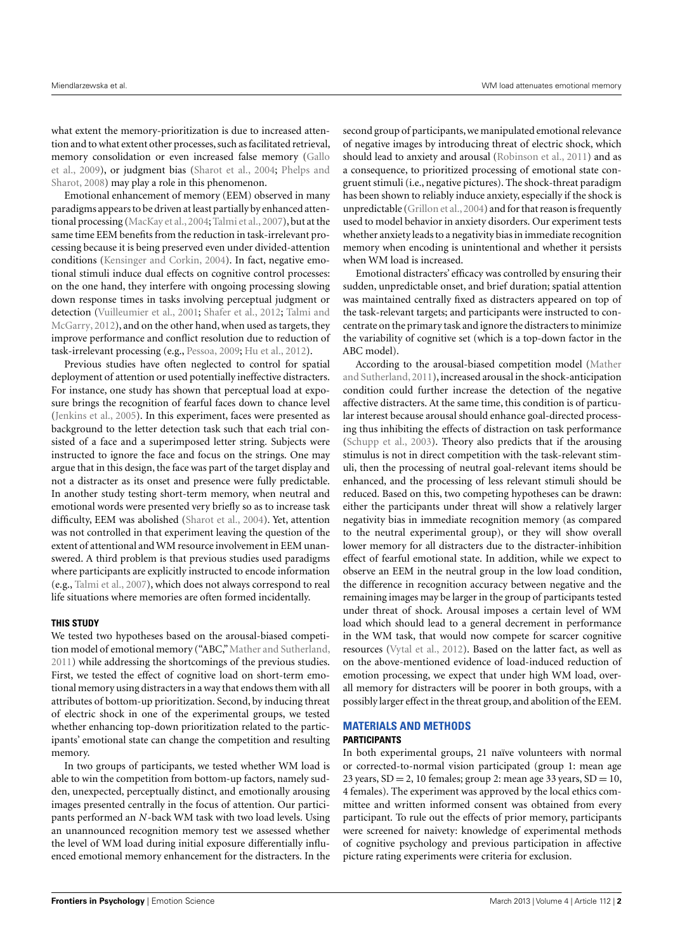what extent the memory-prioritization is due to increased attention and to what extent other processes, such as facilitated retrieval, memory consolidation or even increased false memory [\(Gallo](#page-8-5) [et al., 2009\)](#page-8-5), or judgment bias [\(Sharot et al., 2004;](#page-9-10) [Phelps and](#page-9-11) [Sharot, 2008\)](#page-9-11) may play a role in this phenomenon.

Emotional enhancement of memory (EEM) observed in many paradigms appears to be driven at least partially by enhanced atten-tional processing [\(MacKay et al., 2004;](#page-9-12) [Talmi et al., 2007\)](#page-9-13), but at the same time EEM benefits from the reduction in task-irrelevant processing because it is being preserved even under divided-attention conditions [\(Kensinger and Corkin, 2004\)](#page-9-14). In fact, negative emotional stimuli induce dual effects on cognitive control processes: on the one hand, they interfere with ongoing processing slowing down response times in tasks involving perceptual judgment or detection [\(Vuilleumier et al., 2001;](#page-9-1) [Shafer et al., 2012;](#page-9-6) [Talmi and](#page-9-15) [McGarry, 2012\)](#page-9-15), and on the other hand, when used as targets, they improve performance and conflict resolution due to reduction of task-irrelevant processing (e.g., [Pessoa, 2009;](#page-9-4) [Hu et al., 2012\)](#page-8-6).

Previous studies have often neglected to control for spatial deployment of attention or used potentially ineffective distracters. For instance, one study has shown that perceptual load at exposure brings the recognition of fearful faces down to chance level [\(Jenkins et al., 2005\)](#page-8-7). In this experiment, faces were presented as background to the letter detection task such that each trial consisted of a face and a superimposed letter string. Subjects were instructed to ignore the face and focus on the strings. One may argue that in this design, the face was part of the target display and not a distracter as its onset and presence were fully predictable. In another study testing short-term memory, when neutral and emotional words were presented very briefly so as to increase task difficulty, EEM was abolished [\(Sharot et al., 2004\)](#page-9-10). Yet, attention was not controlled in that experiment leaving the question of the extent of attentional andWM resource involvement in EEM unanswered. A third problem is that previous studies used paradigms where participants are explicitly instructed to encode information (e.g., [Talmi et al., 2007\)](#page-9-13), which does not always correspond to real life situations where memories are often formed incidentally.

## **THIS STUDY**

We tested two hypotheses based on the arousal-biased competition model of emotional memory ("ABC,"[Mather and Sutherland,](#page-9-16) [2011\)](#page-9-16) while addressing the shortcomings of the previous studies. First, we tested the effect of cognitive load on short-term emotional memory using distracters in a way that endows them with all attributes of bottom-up prioritization. Second, by inducing threat of electric shock in one of the experimental groups, we tested whether enhancing top-down prioritization related to the participants' emotional state can change the competition and resulting memory.

In two groups of participants, we tested whether WM load is able to win the competition from bottom-up factors, namely sudden, unexpected, perceptually distinct, and emotionally arousing images presented centrally in the focus of attention. Our participants performed an *N*-back WM task with two load levels. Using an unannounced recognition memory test we assessed whether the level of WM load during initial exposure differentially influenced emotional memory enhancement for the distracters. In the second group of participants, we manipulated emotional relevance of negative images by introducing threat of electric shock, which should lead to anxiety and arousal [\(Robinson et al., 2011\)](#page-9-17) and as a consequence, to prioritized processing of emotional state congruent stimuli (i.e., negative pictures). The shock-threat paradigm has been shown to reliably induce anxiety, especially if the shock is unpredictable (Grillon et al., 2004) and for that reason is frequently used to model behavior in anxiety disorders. Our experiment tests whether anxiety leads to a negativity bias in immediate recognition memory when encoding is unintentional and whether it persists when WM load is increased.

Emotional distracters' efficacy was controlled by ensuring their sudden, unpredictable onset, and brief duration; spatial attention was maintained centrally fixed as distracters appeared on top of the task-relevant targets; and participants were instructed to concentrate on the primary task and ignore the distracters to minimize the variability of cognitive set (which is a top-down factor in the ABC model).

According to the arousal-biased competition model [\(Mather](#page-9-16) [and Sutherland, 2011\)](#page-9-16), increased arousal in the shock-anticipation condition could further increase the detection of the negative affective distracters. At the same time, this condition is of particular interest because arousal should enhance goal-directed processing thus inhibiting the effects of distraction on task performance [\(Schupp et al., 2003\)](#page-9-18). Theory also predicts that if the arousing stimulus is not in direct competition with the task-relevant stimuli, then the processing of neutral goal-relevant items should be enhanced, and the processing of less relevant stimuli should be reduced. Based on this, two competing hypotheses can be drawn: either the participants under threat will show a relatively larger negativity bias in immediate recognition memory (as compared to the neutral experimental group), or they will show overall lower memory for all distracters due to the distracter-inhibition effect of fearful emotional state. In addition, while we expect to observe an EEM in the neutral group in the low load condition, the difference in recognition accuracy between negative and the remaining images may be larger in the group of participants tested under threat of shock. Arousal imposes a certain level of WM load which should lead to a general decrement in performance in the WM task, that would now compete for scarcer cognitive resources [\(Vytal et al., 2012\)](#page-9-7). Based on the latter fact, as well as on the above-mentioned evidence of load-induced reduction of emotion processing, we expect that under high WM load, overall memory for distracters will be poorer in both groups, with a possibly larger effect in the threat group, and abolition of the EEM.

# **MATERIALS AND METHODS PARTICIPANTS**

In both experimental groups, 21 naïve volunteers with normal or corrected-to-normal vision participated (group 1: mean age 23 years,  $SD = 2$ , 10 females; group 2: mean age 33 years,  $SD = 10$ , 4 females). The experiment was approved by the local ethics committee and written informed consent was obtained from every participant. To rule out the effects of prior memory, participants were screened for naivety: knowledge of experimental methods of cognitive psychology and previous participation in affective picture rating experiments were criteria for exclusion.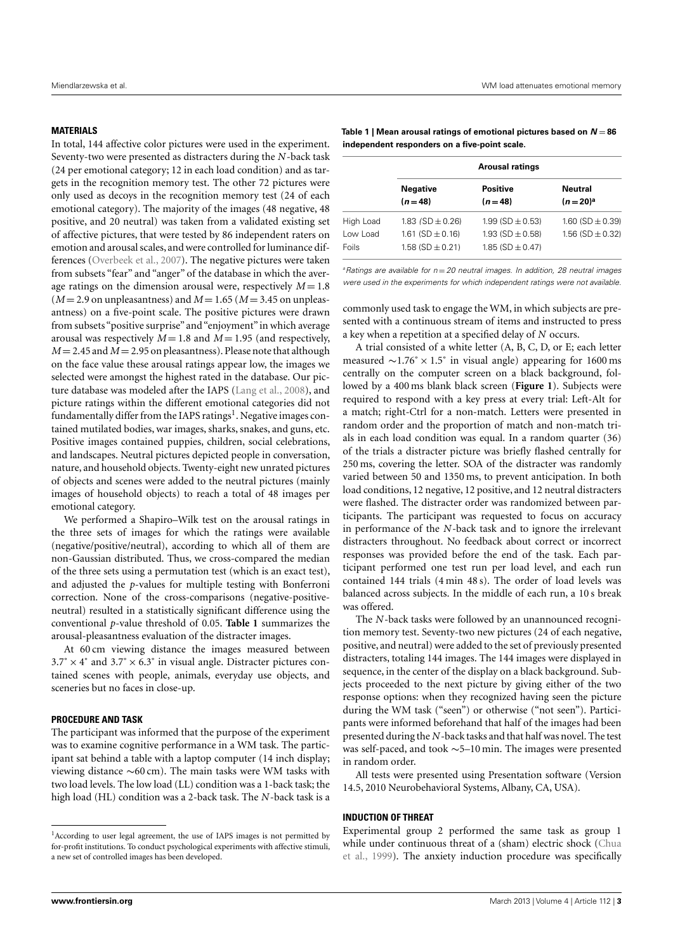# **MATERIALS**

In total, 144 affective color pictures were used in the experiment. Seventy-two were presented as distracters during the *N*-back task (24 per emotional category; 12 in each load condition) and as targets in the recognition memory test. The other 72 pictures were only used as decoys in the recognition memory test (24 of each emotional category). The majority of the images (48 negative, 48 positive, and 20 neutral) was taken from a validated existing set of affective pictures, that were tested by 86 independent raters on emotion and arousal scales, and were controlled for luminance differences [\(Overbeek et al., 2007\)](#page-9-19). The negative pictures were taken from subsets "fear" and "anger" of the database in which the average ratings on the dimension arousal were, respectively  $M = 1.8$  $(M = 2.9$  on unpleasantness) and  $M = 1.65$  ( $M = 3.45$  on unpleasantness) on a five-point scale. The positive pictures were drawn from subsets "positive surprise" and "enjoyment"in which average arousal was respectively  $M = 1.8$  and  $M = 1.95$  (and respectively,  $M = 2.45$  and  $M = 2.95$  on pleasantness). Please note that although on the face value these arousal ratings appear low, the images we selected were amongst the highest rated in the database. Our picture database was modeled after the IAPS [\(Lang et al., 2008\)](#page-9-20), and picture ratings within the different emotional categories did not fundamentally differ from the IAPS ratings<sup>[1](#page-2-0)</sup>. Negative images contained mutilated bodies, war images, sharks, snakes, and guns, etc. Positive images contained puppies, children, social celebrations, and landscapes. Neutral pictures depicted people in conversation, nature, and household objects. Twenty-eight new unrated pictures of objects and scenes were added to the neutral pictures (mainly images of household objects) to reach a total of 48 images per emotional category.

We performed a Shapiro–Wilk test on the arousal ratings in the three sets of images for which the ratings were available (negative/positive/neutral), according to which all of them are non-Gaussian distributed. Thus, we cross-compared the median of the three sets using a permutation test (which is an exact test), and adjusted the *p*-values for multiple testing with Bonferroni correction. None of the cross-comparisons (negative-positiveneutral) resulted in a statistically significant difference using the conventional *p*-value threshold of 0.05. **[Table 1](#page-2-1)** summarizes the arousal-pleasantness evaluation of the distracter images.

At 60 cm viewing distance the images measured between  $3.7^\circ \times 4^\circ$  and  $3.7^\circ \times 6.3^\circ$  in visual angle. Distracter pictures contained scenes with people, animals, everyday use objects, and sceneries but no faces in close-up.

# **PROCEDURE AND TASK**

The participant was informed that the purpose of the experiment was to examine cognitive performance in a WM task. The participant sat behind a table with a laptop computer (14 inch display; viewing distance ∼60 cm). The main tasks were WM tasks with two load levels. The low load (LL) condition was a 1-back task; the high load (HL) condition was a 2-back task. The *N*-back task is a

<span id="page-2-1"></span>

| Table 1   Mean arousal ratings of emotional pictures based on $N = 86$ |
|------------------------------------------------------------------------|
| independent responders on a five-point scale.                          |

|                                | <b>Arousal ratings</b>                                               |                                                                      |                                              |  |
|--------------------------------|----------------------------------------------------------------------|----------------------------------------------------------------------|----------------------------------------------|--|
|                                | <b>Negative</b><br>$(n=48)$                                          | <b>Positive</b><br>$(n=48)$                                          | <b>Neutral</b><br>$(n=20)^a$                 |  |
| High Load<br>Low Load<br>Foils | 1.83 $(SD \pm 0.26)$<br>1.61 (SD $\pm$ 0.16)<br>1.58 (SD $\pm$ 0.21) | 1.99 (SD $\pm$ 0.53)<br>1.93 (SD $\pm$ 0.58)<br>1.85 (SD $\pm$ 0.47) | 1.60 (SD $\pm$ 0.39)<br>1.56 (SD $\pm$ 0.32) |  |

 $a$  Ratings are available for  $n = 20$  neutral images. In addition, 28 neutral images were used in the experiments for which independent ratings were not available.

commonly used task to engage the WM, in which subjects are presented with a continuous stream of items and instructed to press a key when a repetition at a specified delay of *N* occurs.

A trial consisted of a white letter (A, B, C, D, or E; each letter measured  $\sim$ 1.76° × 1.5° in visual angle) appearing for 1600 ms centrally on the computer screen on a black background, followed by a 400 ms blank black screen (**[Figure 1](#page-3-0)**). Subjects were required to respond with a key press at every trial: Left-Alt for a match; right-Ctrl for a non-match. Letters were presented in random order and the proportion of match and non-match trials in each load condition was equal. In a random quarter (36) of the trials a distracter picture was briefly flashed centrally for 250 ms, covering the letter. SOA of the distracter was randomly varied between 50 and 1350 ms, to prevent anticipation. In both load conditions, 12 negative, 12 positive, and 12 neutral distracters were flashed. The distracter order was randomized between participants. The participant was requested to focus on accuracy in performance of the *N*-back task and to ignore the irrelevant distracters throughout. No feedback about correct or incorrect responses was provided before the end of the task. Each participant performed one test run per load level, and each run contained 144 trials (4 min 48 s). The order of load levels was balanced across subjects. In the middle of each run, a 10 s break was offered.

The *N*-back tasks were followed by an unannounced recognition memory test. Seventy-two new pictures (24 of each negative, positive, and neutral) were added to the set of previously presented distracters, totaling 144 images. The 144 images were displayed in sequence, in the center of the display on a black background. Subjects proceeded to the next picture by giving either of the two response options: when they recognized having seen the picture during the WM task ("seen") or otherwise ("not seen"). Participants were informed beforehand that half of the images had been presented during the *N*-back tasks and that half was novel. The test was self-paced, and took ∼5–10 min. The images were presented in random order.

All tests were presented using Presentation software (Version 14.5, 2010 Neurobehavioral Systems, Albany, CA, USA).

## **INDUCTION OF THREAT**

Experimental group 2 performed the same task as group 1 while under continuous threat of a (sham) electric shock [\(Chua](#page-8-9) [et al., 1999\)](#page-8-9). The anxiety induction procedure was specifically

<span id="page-2-0"></span><sup>&</sup>lt;sup>1</sup> According to user legal agreement, the use of IAPS images is not permitted by for-profit institutions. To conduct psychological experiments with affective stimuli, a new set of controlled images has been developed.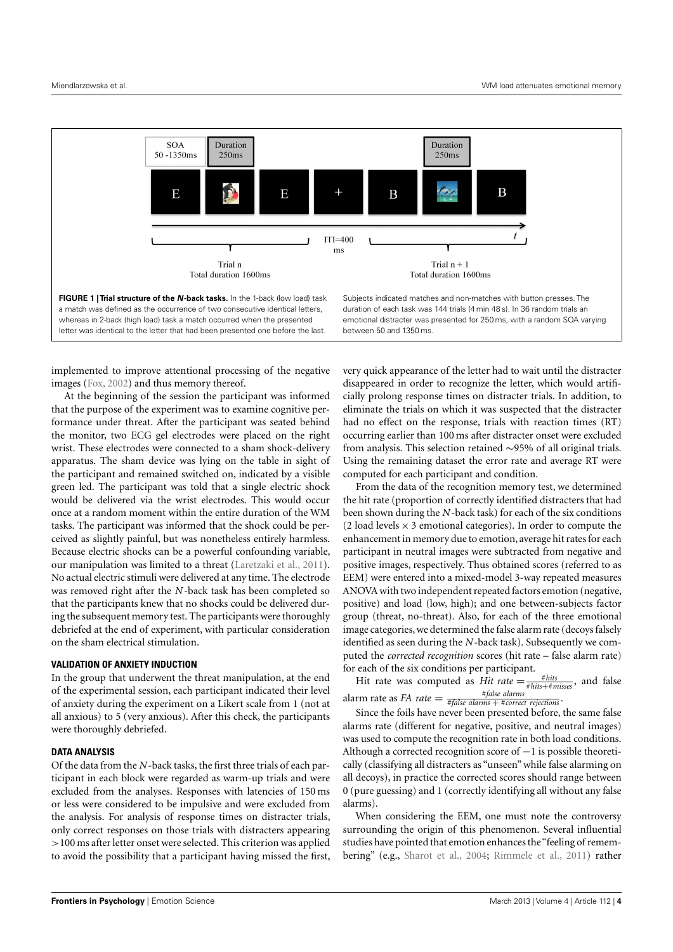

<span id="page-3-0"></span>implemented to improve attentional processing of the negative images [\(Fox, 2002\)](#page-8-1) and thus memory thereof.

At the beginning of the session the participant was informed that the purpose of the experiment was to examine cognitive performance under threat. After the participant was seated behind the monitor, two ECG gel electrodes were placed on the right wrist. These electrodes were connected to a sham shock-delivery apparatus. The sham device was lying on the table in sight of the participant and remained switched on, indicated by a visible green led. The participant was told that a single electric shock would be delivered via the wrist electrodes. This would occur once at a random moment within the entire duration of the WM tasks. The participant was informed that the shock could be perceived as slightly painful, but was nonetheless entirely harmless. Because electric shocks can be a powerful confounding variable, our manipulation was limited to a threat [\(Laretzaki et al., 2011\)](#page-9-21). No actual electric stimuli were delivered at any time. The electrode was removed right after the *N*-back task has been completed so that the participants knew that no shocks could be delivered during the subsequent memory test. The participants were thoroughly debriefed at the end of experiment, with particular consideration on the sham electrical stimulation.

# **VALIDATION OF ANXIETY INDUCTION**

In the group that underwent the threat manipulation, at the end of the experimental session, each participant indicated their level of anxiety during the experiment on a Likert scale from 1 (not at all anxious) to 5 (very anxious). After this check, the participants were thoroughly debriefed.

# **DATA ANALYSIS**

Of the data from the *N*-back tasks, the first three trials of each participant in each block were regarded as warm-up trials and were excluded from the analyses. Responses with latencies of 150 ms or less were considered to be impulsive and were excluded from the analysis. For analysis of response times on distracter trials, only correct responses on those trials with distracters appearing >100 ms after letter onset were selected. This criterion was applied to avoid the possibility that a participant having missed the first,

very quick appearance of the letter had to wait until the distracter disappeared in order to recognize the letter, which would artificially prolong response times on distracter trials. In addition, to eliminate the trials on which it was suspected that the distracter had no effect on the response, trials with reaction times (RT) occurring earlier than 100 ms after distracter onset were excluded from analysis. This selection retained ∼95% of all original trials. Using the remaining dataset the error rate and average RT were computed for each participant and condition.

From the data of the recognition memory test, we determined the hit rate (proportion of correctly identified distracters that had been shown during the *N*-back task) for each of the six conditions (2 load levels  $\times$  3 emotional categories). In order to compute the enhancement in memory due to emotion, average hit rates for each participant in neutral images were subtracted from negative and positive images, respectively. Thus obtained scores (referred to as EEM) were entered into a mixed-model 3-way repeated measures ANOVA with two independent repeated factors emotion (negative, positive) and load (low, high); and one between-subjects factor group (threat, no-threat). Also, for each of the three emotional image categories, we determined the false alarm rate (decoys falsely identified as seen during the *N*-back task). Subsequently we computed the *corrected recognition* scores (hit rate – false alarm rate) for each of the six conditions per participant.

Hit rate was computed as *Hit rate*  $=$   $\frac{\# hits}{# hits + \# misses}$ , and false alarm rate as *FA rate*  $=$   $\frac{\#false}{\#false}$  *alarms*  $+$  # *correct rejections*  $\cdot$ 

Since the foils have never been presented before, the same false alarms rate (different for negative, positive, and neutral images) was used to compute the recognition rate in both load conditions. Although a corrected recognition score of  $-1$  is possible theoretically (classifying all distracters as "unseen" while false alarming on all decoys), in practice the corrected scores should range between 0 (pure guessing) and 1 (correctly identifying all without any false alarms).

When considering the EEM, one must note the controversy surrounding the origin of this phenomenon. Several influential studies have pointed that emotion enhances the"feeling of remembering" (e.g., [Sharot et al., 2004;](#page-9-10) [Rimmele et al., 2011\)](#page-9-22) rather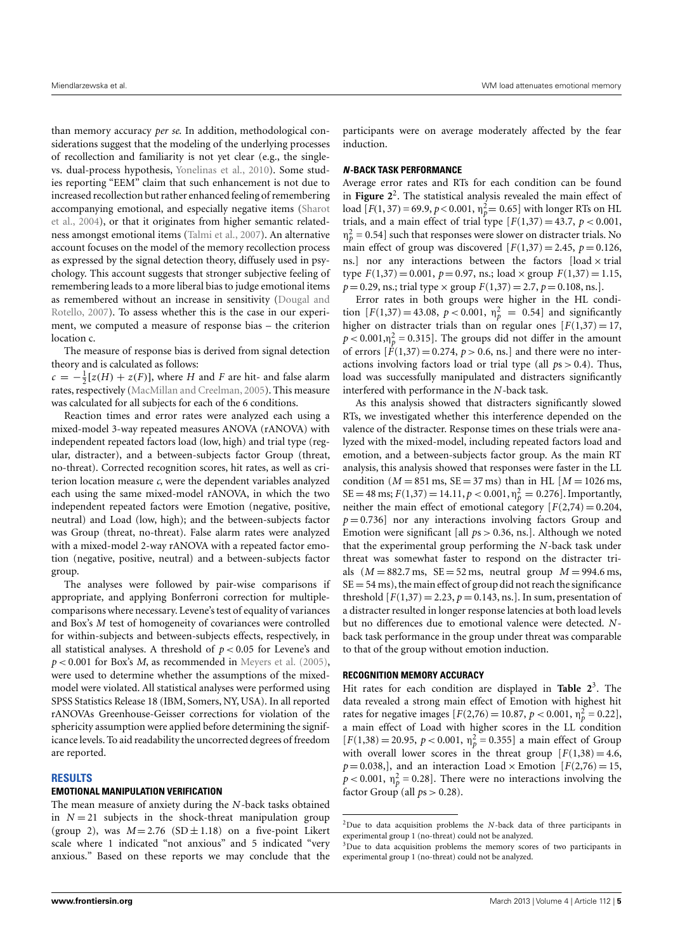than memory accuracy *per se*. In addition, methodological considerations suggest that the modeling of the underlying processes of recollection and familiarity is not yet clear (e.g., the singlevs. dual-process hypothesis, [Yonelinas et al., 2010\)](#page-9-23). Some studies reporting "EEM" claim that such enhancement is not due to increased recollection but rather enhanced feeling of remembering accompanying emotional, and especially negative items [\(Sharot](#page-9-10) [et al., 2004\)](#page-9-10), or that it originates from higher semantic relatedness amongst emotional items [\(Talmi et al., 2007\)](#page-9-13). An alternative account focuses on the model of the memory recollection process as expressed by the signal detection theory, diffusely used in psychology. This account suggests that stronger subjective feeling of remembering leads to a more liberal bias to judge emotional items as remembered without an increase in sensitivity [\(Dougal and](#page-8-10) [Rotello, 2007\)](#page-8-10). To assess whether this is the case in our experiment, we computed a measure of response bias – the criterion location c.

The measure of response bias is derived from signal detection theory and is calculated as follows:

 $c = -\frac{1}{2}[z(H) + z(F)]$ , where *H* and *F* are hit- and false alarm rates, respectively [\(MacMillan and Creelman, 2005\)](#page-9-24). This measure was calculated for all subjects for each of the 6 conditions.

Reaction times and error rates were analyzed each using a mixed-model 3-way repeated measures ANOVA (rANOVA) with independent repeated factors load (low, high) and trial type (regular, distracter), and a between-subjects factor Group (threat, no-threat). Corrected recognition scores, hit rates, as well as criterion location measure *c*, were the dependent variables analyzed each using the same mixed-model rANOVA, in which the two independent repeated factors were Emotion (negative, positive, neutral) and Load (low, high); and the between-subjects factor was Group (threat, no-threat). False alarm rates were analyzed with a mixed-model 2-way rANOVA with a repeated factor emotion (negative, positive, neutral) and a between-subjects factor group.

The analyses were followed by pair-wise comparisons if appropriate, and applying Bonferroni correction for multiplecomparisons where necessary. Levene's test of equality of variances and Box's *M* test of homogeneity of covariances were controlled for within-subjects and between-subjects effects, respectively, in all statistical analyses. A threshold of  $p < 0.05$  for Levene's and *p* < 0.001 for Box's *M*, as recommended in [Meyers et al.](#page-9-25) [\(2005\)](#page-9-25), were used to determine whether the assumptions of the mixedmodel were violated. All statistical analyses were performed using SPSS Statistics Release 18 (IBM, Somers, NY, USA). In all reported rANOVAs Greenhouse-Geisser corrections for violation of the sphericity assumption were applied before determining the significance levels. To aid readability the uncorrected degrees of freedom are reported.

## **RESULTS**

## **EMOTIONAL MANIPULATION VERIFICATION**

The mean measure of anxiety during the *N*-back tasks obtained in  $N = 21$  subjects in the shock-threat manipulation group (group 2), was  $M = 2.76$  (SD $\pm$ 1.18) on a five-point Likert scale where 1 indicated "not anxious" and 5 indicated "very anxious." Based on these reports we may conclude that the

participants were on average moderately affected by the fear induction.

#### **N-BACK TASK PERFORMANCE**

Average error rates and RTs for each condition can be found in **[Figure 2](#page-5-0)**[2](#page-4-0) . The statistical analysis revealed the main effect of load  $[F(1, 37) = 69.9, p < 0.001, \eta_p^2 = 0.65]$  with longer RTs on HL trials, and a main effect of trial type  $[F(1,37) = 43.7, p < 0.001,$  $\eta_p^2 = 0.54$ ] such that responses were slower on distracter trials. No main effect of group was discovered  $[F(1,37) = 2.45, p = 0.126,$ ns.] nor any interactions between the factors  $[load \times trial]$ type  $F(1,37) = 0.001$ ,  $p = 0.97$ , ns.; load  $\times$  group  $F(1,37) = 1.15$ ,  $p = 0.29$ , ns.; trial type  $\times$  group  $F(1,37) = 2.7$ ,  $p = 0.108$ , ns.].

Error rates in both groups were higher in the HL condition  $[F(1,37) = 43.08, p < 0.001, \eta_p^2 = 0.54]$  and significantly higher on distracter trials than on regular ones  $[F(1,37) = 17$ ,  $p < 0.001, \eta_p^2 = 0.315$ . The groups did not differ in the amount of errors  $[\dot{F}(1,37) = 0.274, p > 0.6, ns.]$  and there were no interactions involving factors load or trial type (all *p*s > 0.4). Thus, load was successfully manipulated and distracters significantly interfered with performance in the *N*-back task.

As this analysis showed that distracters significantly slowed RTs, we investigated whether this interference depended on the valence of the distracter. Response times on these trials were analyzed with the mixed-model, including repeated factors load and emotion, and a between-subjects factor group. As the main RT analysis, this analysis showed that responses were faster in the LL condition ( $M = 851$  ms,  $SE = 37$  ms) than in HL [ $M = 1026$  ms,  $SE = 48 \text{ ms}; F(1,37) = 14.11, p < 0.001, \eta_p^2 = 0.276$ . Importantly, neither the main effect of emotional category  $[F(2,74) = 0.204$ ,  $p = 0.736$ ] nor any interactions involving factors Group and Emotion were significant [all *p*s > 0.36, ns.]. Although we noted that the experimental group performing the *N*-back task under threat was somewhat faster to respond on the distracter trials  $(M = 882.7 \text{ ms}, \text{SE} = 52 \text{ ms}, \text{neutral group } M = 994.6 \text{ ms},$  $SE = 54$  ms), the main effect of group did not reach the significance threshold  $[F(1,37) = 2.23, p = 0.143, ns.]$ . In sum, presentation of a distracter resulted in longer response latencies at both load levels but no differences due to emotional valence were detected. *N*back task performance in the group under threat was comparable to that of the group without emotion induction.

## **RECOGNITION MEMORY ACCURACY**

Hit rates for each condition are displayed in **[Table 2](#page-5-1)**[3](#page-4-1) . The data revealed a strong main effect of Emotion with highest hit rates for negative images  $[F(2,76) = 10.87, p < 0.001, \eta_p^2 = 0.22]$ , a main effect of Load with higher scores in the LL condition  $[F(1,38) = 20.95, p < 0.001, \eta_p^2 = 0.355]$  a main effect of Group with overall lower scores in the threat group  $[F(1,38) = 4.6,$  $p = 0.038$ ,], and an interaction Load × Emotion [ $F(2,76) = 15$ ,  $p < 0.001$ ,  $\eta_p^2 = 0.28$ . There were no interactions involving the factor Group (all  $ps > 0.28$ ).

<span id="page-4-0"></span><sup>2</sup>Due to data acquisition problems the *N*-back data of three participants in experimental group 1 (no-threat) could not be analyzed.

<span id="page-4-1"></span><sup>&</sup>lt;sup>3</sup>Due to data acquisition problems the memory scores of two participants in experimental group 1 (no-threat) could not be analyzed.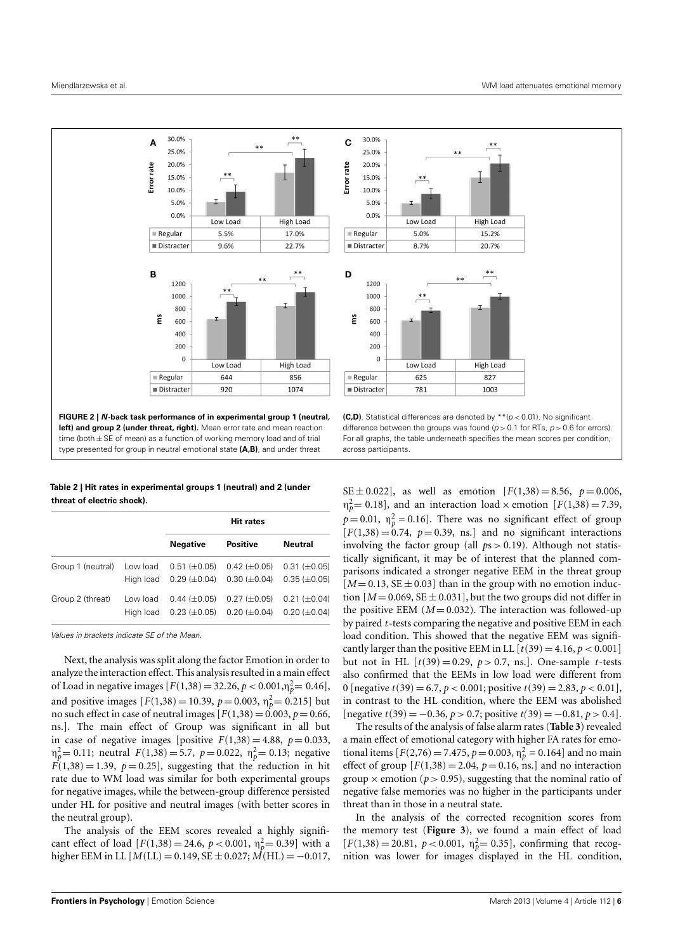

<span id="page-5-1"></span>**Table 2 | Hit rates in experimental groups 1 (neutral) and 2 (under threat of electric shock).**

<span id="page-5-0"></span>type presented for group in neutral emotional state **(A,B)**, and under threat

|                   |                       | <b>Hit rates</b>                                   |                                            |                                          |
|-------------------|-----------------------|----------------------------------------------------|--------------------------------------------|------------------------------------------|
|                   |                       | <b>Negative</b>                                    | <b>Positive</b>                            | <b>Neutral</b>                           |
| Group 1 (neutral) | Low load              | $0.51 (\pm 0.05)$<br>High load $0.29 \ (\pm 0.04)$ | $0.42 \ (\pm 0.05)$<br>$0.30 \ (\pm 0.04)$ | $0.31 (\pm 0.05)$<br>$0.35 \ (\pm 0.05)$ |
| Group 2 (threat)  | Low load<br>Hiah load | $0.44 \ (\pm 0.05)$<br>$0.23 \ (\pm 0.05)$         | $0.27 (\pm 0.05)$<br>$0.20 (\pm 0.04)$     | $0.21 (\pm 0.04)$<br>$0.20 (\pm 0.04)$   |

Values in brackets indicate SE of the Mean.

Next, the analysis was split along the factor Emotion in order to analyze the interaction effect. This analysis resulted in a main effect of Load in negative images  $[F(1,38) = 32.26, p < 0.001, \eta_p^2 = 0.46]$ , and positive images  $[F(1,38) = 10.39, p = 0.003, \eta_p^2 = 0.215]$  but no such effect in case of neutral images  $[F(1,38) = 0.003, p = 0.66,$ ns.]. The main effect of Group was significant in all but in case of negative images [positive  $F(1,38) = 4.88$ ,  $p = 0.033$ ,  $η<sub>p</sub><sup>2</sup> = 0.11$ ; neutral *F*(1,38) = 5.7, *p* = 0.022,  $η<sub>p</sub><sup>2</sup> = 0.13$ ; negative  $F(1,38) = 1.39$ ,  $p = 0.25$ , suggesting that the reduction in hit rate due to WM load was similar for both experimental groups for negative images, while the between-group difference persisted under HL for positive and neutral images (with better scores in the neutral group).

The analysis of the EEM scores revealed a highly significant effect of load  $[F(1,38) = 24.6, p < 0.001, \eta_p^2 = 0.39]$  with a higher EEM in LL  $[M(LL) = 0.149, SE \pm 0.027; M(HL) = -0.017,$ 

difference between the groups was found ( $p > 0.1$  for RTs,  $p > 0.6$  for errors). For all graphs, the table underneath specifies the mean scores per condition, across participants.

SE  $\pm$  0.022], as well as emotion  $[F(1,38) = 8.56, p = 0.006,$  $\eta_p^2 = 0.18$ , and an interaction load × emotion [*F*(1,38) = 7.39,  $p = 0.01$ ,  $\eta_p^2 = 0.16$ . There was no significant effect of group  $[F(1,38) = 0.74, p = 0.39, ns.]$  and no significant interactions involving the factor group (all *p*s > 0.19). Although not statistically significant, it may be of interest that the planned comparisons indicated a stronger negative EEM in the threat group  $[M=0.13, SE \pm 0.03]$  than in the group with no emotion induction  $[M = 0.069, SE \pm 0.031]$ , but the two groups did not differ in the positive EEM  $(M=0.032)$ . The interaction was followed-up by paired *t*-tests comparing the negative and positive EEM in each load condition. This showed that the negative EEM was significantly larger than the positive EEM in LL  $[t(39) = 4.16, p < 0.001]$ but not in HL  $[t(39) = 0.29, p > 0.7, \text{ns.}]$ . One-sample *t*-tests also confirmed that the EEMs in low load were different from 0 [negative  $t(39) = 6.7$ ,  $p < 0.001$ ; positive  $t(39) = 2.83$ ,  $p < 0.01$ ], in contrast to the HL condition, where the EEM was abolished [negative *t*(39) = −0.36, *p* > 0.7; positive *t(*39) = −0.81, *p* > 0.4].

The results of the analysis of false alarm rates (**[Table 3](#page-6-0)**) revealed a main effect of emotional category with higher FA rates for emotional items  $[F(2,76) = 7.475, p = 0.003, \eta_p^2 = 0.164]$  and no main effect of group  $[F(1,38) = 2.04, p = 0.16, ns.]$  and no interaction group  $\times$  emotion ( $p > 0.95$ ), suggesting that the nominal ratio of negative false memories was no higher in the participants under threat than in those in a neutral state.

In the analysis of the corrected recognition scores from the memory test (**[Figure 3](#page-6-1)**), we found a main effect of load  $[F(1,38) = 20.81, p < 0.001, \eta_p^2 = 0.35]$ , confirming that recognition was lower for images displayed in the HL condition,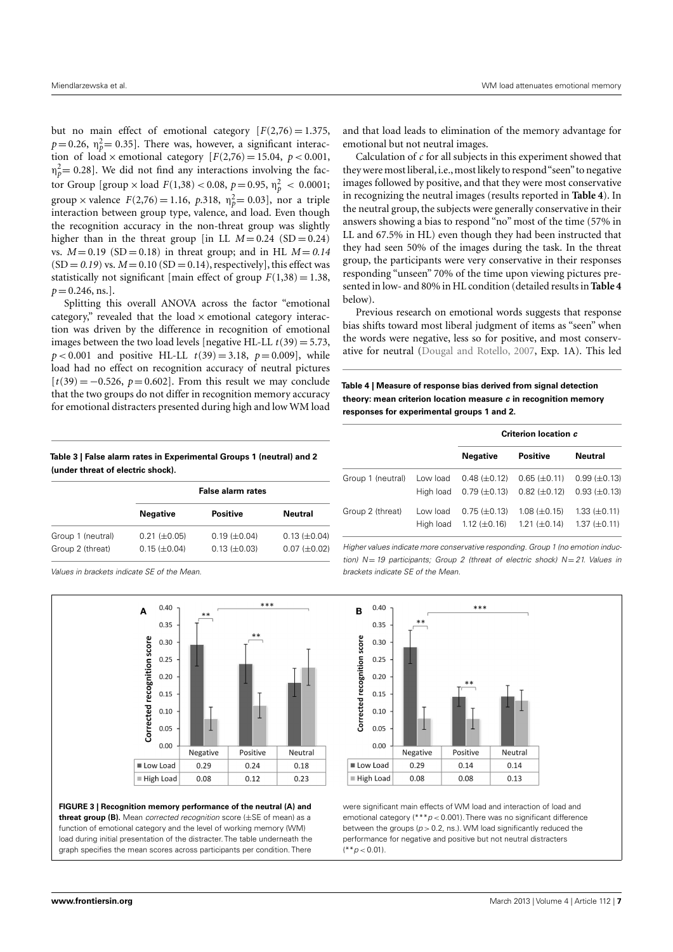but no main effect of emotional category  $[F(2,76) = 1.375]$  $p=0.26$ ,  $\eta_p^2=0.35$ ]. There was, however, a significant interaction of load  $\times$  emotional category  $[F(2,76) = 15.04, p < 0.001,$  $\eta_p^2$  = 0.28]. We did not find any interactions involving the factor Group [group  $\times$  load  $F(1,38) < 0.08, \, p = 0.95, \, \eta_p^2 < 0.0001;$ group × valence  $F(2,76) = 1.16$ ,  $p.318$ ,  $n_p^2 = 0.03$ , nor a triple interaction between group type, valence, and load. Even though the recognition accuracy in the non-threat group was slightly higher than in the threat group [in LL  $M = 0.24$  (SD = 0.24) vs.  $M = 0.19$  (SD = 0.18) in threat group; and in HL  $M = 0.14$  $(SD = 0.19)$  vs.  $M = 0.10$  (SD = 0.14), respectively], this effect was statistically not significant [main effect of group  $F(1,38) = 1.38$ ,  $p = 0.246$ , ns.].

Splitting this overall ANOVA across the factor "emotional category," revealed that the load  $\times$  emotional category interaction was driven by the difference in recognition of emotional images between the two load levels [negative HL-LL  $t(39) = 5.73$ ,  $p < 0.001$  and positive HL-LL  $t(39) = 3.18$ ,  $p = 0.009$ , while load had no effect on recognition accuracy of neutral pictures  $[t(39) = -0.526, p = 0.602]$ . From this result we may conclude that the two groups do not differ in recognition memory accuracy for emotional distracters presented during high and low WM load and that load leads to elimination of the memory advantage for emotional but not neutral images.

Calculation of *c* for all subjects in this experiment showed that they were most liberal, i.e., most likely to respond "seen" to negative images followed by positive, and that they were most conservative in recognizing the neutral images (results reported in **[Table 4](#page-6-2)**). In the neutral group, the subjects were generally conservative in their answers showing a bias to respond "no" most of the time (57% in LL and 67.5% in HL) even though they had been instructed that they had seen 50% of the images during the task. In the threat group, the participants were very conservative in their responses responding "unseen" 70% of the time upon viewing pictures presented in low- and 80% in HL condition (detailed results in **[Table 4](#page-6-2)** below).

Previous research on emotional words suggests that response bias shifts toward most liberal judgment of items as "seen" when the words were negative, less so for positive, and most conservative for neutral [\(Dougal and Rotello, 2007,](#page-8-10) Exp. 1A). This led

<span id="page-6-2"></span>**Table 4 | Measure of response bias derived from signal detection theory: mean criterion location measure c in recognition memory responses for experimental groups 1 and 2.**

|                   |                       | Criterion location c                                 |                                            |                                            |
|-------------------|-----------------------|------------------------------------------------------|--------------------------------------------|--------------------------------------------|
|                   |                       | <b>Negative</b>                                      | <b>Positive</b>                            | Neutral                                    |
| Group 1 (neutral) | Low load<br>High load | $0.48 \ (\pm 0.12)$<br>$0.79 \ (\pm 0.13)$           | $0.65 \ (\pm 0.11)$<br>$0.82 \ (\pm 0.12)$ | $0.99 \ (\pm 0.13)$<br>$0.93 \ (\pm 0.13)$ |
| Group 2 (threat)  | Low load              | $0.75 \ (\pm 0.13)$<br>High load $1.12 \ (\pm 0.16)$ | $1.08 \ (\pm 0.15)$<br>$1.21 \ (\pm 0.14)$ | $1.33 \ (\pm 0.11)$<br>$1.37 \ (\pm 0.11)$ |

Higher values indicate more conservative responding. Group 1 (no emotion induction)  $N = 19$  participants; Group 2 (threat of electric shock)  $N = 21$ . Values in brackets indicate SE of the Mean.



were significant main effects of WM load and interaction of load and emotional category (\*\*\* $p$  < 0.001). There was no significant difference between the groups ( $p > 0.2$ , ns.). WM load significantly reduced the performance for negative and positive but not neutral distracters  $(* *p < 0.01).$ 

<span id="page-6-0"></span>**Table 3 | False alarm rates in Experimental Groups 1 (neutral) and 2 (under threat of electric shock).**

|                   | <b>False alarm rates</b> |                     |                     |  |
|-------------------|--------------------------|---------------------|---------------------|--|
|                   | <b>Negative</b>          | <b>Positive</b>     | Neutral             |  |
| Group 1 (neutral) | $0.21 (\pm 0.05)$        | $0.19 \ (\pm 0.04)$ | $0.13 \ (\pm 0.04)$ |  |
| Group 2 (threat)  | $0.15 \ (\pm 0.04)$      | $0.13 \ (\pm 0.03)$ | $0.07 (\pm 0.02)$   |  |

Values in brackets indicate SE of the Mean.



<span id="page-6-1"></span>**FIGURE 3 | Recognition memory performance of the neutral (A) and threat group (B).** Mean corrected recognition score (±SE of mean) as a function of emotional category and the level of working memory (WM) load during initial presentation of the distracter. The table underneath the graph specifies the mean scores across participants per condition. There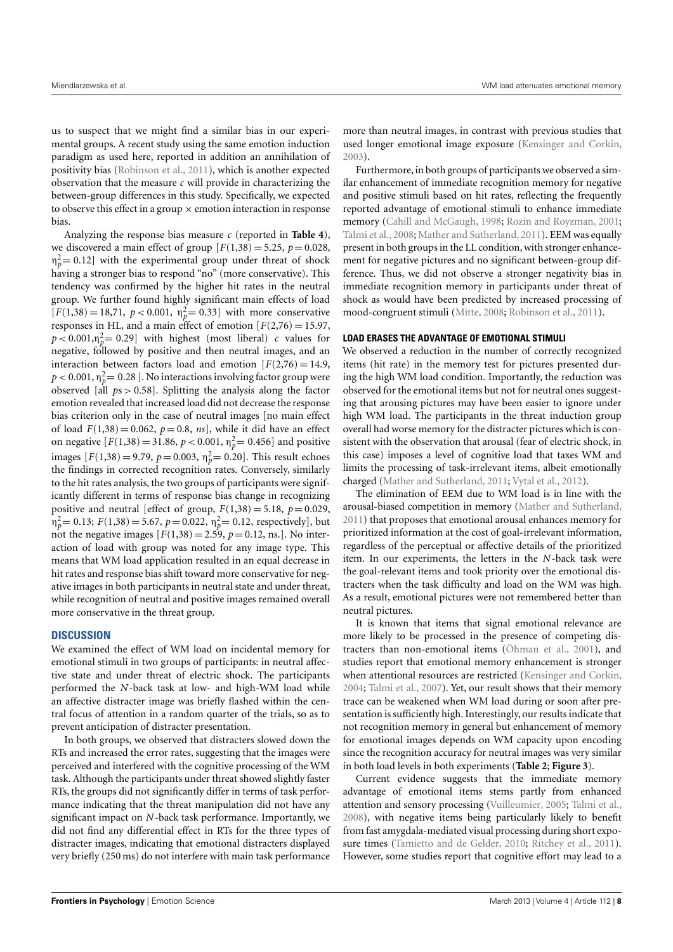us to suspect that we might find a similar bias in our experimental groups. A recent study using the same emotion induction paradigm as used here, reported in addition an annihilation of positivity bias [\(Robinson et al., 2011\)](#page-9-17), which is another expected observation that the measure *c* will provide in characterizing the between-group differences in this study. Specifically, we expected to observe this effect in a group  $\times$  emotion interaction in response bias.

Analyzing the response bias measure *c* (reported in **[Table 4](#page-6-2)**), we discovered a main effect of group  $[F(1,38) = 5.25, p = 0.028,$  $\eta_p^2$  = 0.12] with the experimental group under threat of shock having a stronger bias to respond "no" (more conservative). This tendency was confirmed by the higher hit rates in the neutral group. We further found highly significant main effects of load  $[F(1,38) = 18,71, p < 0.001, \eta_p^2 = 0.33]$  with more conservative responses in HL, and a main effect of emotion  $[F(2,76) = 15.97,$  $p < 0.001, \eta_p^2 = 0.29$ ] with highest (most liberal) *c* values for negative, followed by positive and then neutral images, and an interaction between factors load and emotion  $[F(2,76) = 14.9]$ ,  $p < 0.001,$   $\eta_p^2{=0.28}$  ]. No interactions involving factor group were observed [all *p*s > 0.58]. Splitting the analysis along the factor emotion revealed that increased load did not decrease the response bias criterion only in the case of neutral images [no main effect of load  $F(1,38) = 0.062$ ,  $p = 0.8$ ,  $ns$ , while it did have an effect on negative  $[F(1,38) = 31.86, p < 0.001, \eta_p^2 = 0.456]$  and positive images  $[F(1,38) = 9.79, p = 0.003, \eta_p^2 = 0.20]$ . This result echoes the findings in corrected recognition rates. Conversely, similarly to the hit rates analysis, the two groups of participants were significantly different in terms of response bias change in recognizing positive and neutral [effect of group,  $F(1,38) = 5.18$ ,  $p = 0.029$ , *n*<sub>p</sub><sup>2</sup> = 0.13; *F*(1,38) = 5.67, *p* = 0.022, *n*<sub>p</sub><sup>2</sup> = 0.12, respectively], but not the negative images  $[F(1,38) = 2.59, p = 0.12, \text{ns.}]$ . No interaction of load with group was noted for any image type. This means that WM load application resulted in an equal decrease in hit rates and response bias shift toward more conservative for negative images in both participants in neutral state and under threat, while recognition of neutral and positive images remained overall more conservative in the threat group.

# **DISCUSSION**

We examined the effect of WM load on incidental memory for emotional stimuli in two groups of participants: in neutral affective state and under threat of electric shock. The participants performed the *N*-back task at low- and high-WM load while an affective distracter image was briefly flashed within the central focus of attention in a random quarter of the trials, so as to prevent anticipation of distracter presentation.

In both groups, we observed that distracters slowed down the RTs and increased the error rates, suggesting that the images were perceived and interfered with the cognitive processing of the WM task. Although the participants under threat showed slightly faster RTs, the groups did not significantly differ in terms of task performance indicating that the threat manipulation did not have any significant impact on *N*-back task performance. Importantly, we did not find any differential effect in RTs for the three types of distracter images, indicating that emotional distracters displayed very briefly (250 ms) do not interfere with main task performance

more than neutral images, in contrast with previous studies that used longer emotional image exposure [\(Kensinger and Corkin,](#page-9-26) [2003\)](#page-9-26).

Furthermore, in both groups of participants we observed a similar enhancement of immediate recognition memory for negative and positive stimuli based on hit rates, reflecting the frequently reported advantage of emotional stimuli to enhance immediate memory [\(Cahill and McGaugh, 1998;](#page-8-11) [Rozin and Royzman, 2001;](#page-9-27) [Talmi et al., 2008;](#page-9-28) [Mather and Sutherland, 2011\)](#page-9-16). EEM was equally present in both groups in the LL condition,with stronger enhancement for negative pictures and no significant between-group difference. Thus, we did not observe a stronger negativity bias in immediate recognition memory in participants under threat of shock as would have been predicted by increased processing of mood-congruent stimuli [\(Mitte, 2008;](#page-9-29) [Robinson et al., 2011\)](#page-9-17).

# **LOAD ERASES THE ADVANTAGE OF EMOTIONAL STIMULI**

We observed a reduction in the number of correctly recognized items (hit rate) in the memory test for pictures presented during the high WM load condition. Importantly, the reduction was observed for the emotional items but not for neutral ones suggesting that arousing pictures may have been easier to ignore under high WM load. The participants in the threat induction group overall had worse memory for the distracter pictures which is consistent with the observation that arousal (fear of electric shock, in this case) imposes a level of cognitive load that taxes WM and limits the processing of task-irrelevant items, albeit emotionally charged [\(Mather and Sutherland, 2011;](#page-9-16) [Vytal et al., 2012\)](#page-9-7).

The elimination of EEM due to WM load is in line with the arousal-biased competition in memory [\(Mather and Sutherland,](#page-9-16) [2011\)](#page-9-16) that proposes that emotional arousal enhances memory for prioritized information at the cost of goal-irrelevant information, regardless of the perceptual or affective details of the prioritized item. In our experiments, the letters in the *N*-back task were the goal-relevant items and took priority over the emotional distracters when the task difficulty and load on the WM was high. As a result, emotional pictures were not remembered better than neutral pictures.

It is known that items that signal emotional relevance are more likely to be processed in the presence of competing distracters than non-emotional items [\(Öhman et al., 2001\)](#page-9-30), and studies report that emotional memory enhancement is stronger when attentional resources are restricted [\(Kensinger and Corkin,](#page-9-14) [2004;](#page-9-14) [Talmi et al., 2007\)](#page-9-13). Yet, our result shows that their memory trace can be weakened when WM load during or soon after presentation is sufficiently high. Interestingly, our results indicate that not recognition memory in general but enhancement of memory for emotional images depends on WM capacity upon encoding since the recognition accuracy for neutral images was very similar in both load levels in both experiments (**[Table 2](#page-5-1)**; **[Figure 3](#page-6-1)**).

Current evidence suggests that the immediate memory advantage of emotional items stems partly from enhanced attention and sensory processing [\(Vuilleumier, 2005;](#page-9-31) [Talmi et al.,](#page-9-28) [2008\)](#page-9-28), with negative items being particularly likely to benefit from fast amygdala-mediated visual processing during short exposure times [\(Tamietto and de Gelder, 2010;](#page-9-32) [Ritchey et al., 2011\)](#page-9-33). However, some studies report that cognitive effort may lead to a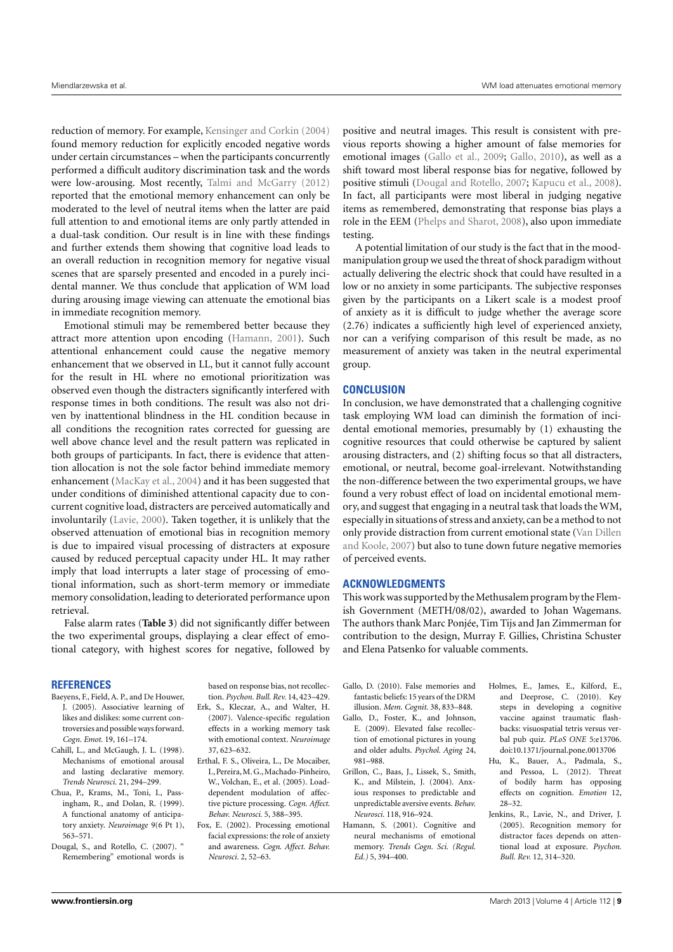reduction of memory. For example, [Kensinger and Corkin](#page-9-14) [\(2004\)](#page-9-14) found memory reduction for explicitly encoded negative words under certain circumstances – when the participants concurrently performed a difficult auditory discrimination task and the words were low-arousing. Most recently, [Talmi and McGarry](#page-9-15) [\(2012\)](#page-9-15) reported that the emotional memory enhancement can only be moderated to the level of neutral items when the latter are paid full attention to and emotional items are only partly attended in a dual-task condition. Our result is in line with these findings and further extends them showing that cognitive load leads to an overall reduction in recognition memory for negative visual scenes that are sparsely presented and encoded in a purely incidental manner. We thus conclude that application of WM load during arousing image viewing can attenuate the emotional bias in immediate recognition memory.

Emotional stimuli may be remembered better because they attract more attention upon encoding [\(Hamann, 2001\)](#page-8-12). Such attentional enhancement could cause the negative memory enhancement that we observed in LL, but it cannot fully account for the result in HL where no emotional prioritization was observed even though the distracters significantly interfered with response times in both conditions. The result was also not driven by inattentional blindness in the HL condition because in all conditions the recognition rates corrected for guessing are well above chance level and the result pattern was replicated in both groups of participants. In fact, there is evidence that attention allocation is not the sole factor behind immediate memory enhancement [\(MacKay et al., 2004\)](#page-9-12) and it has been suggested that under conditions of diminished attentional capacity due to concurrent cognitive load, distracters are perceived automatically and involuntarily [\(Lavie, 2000\)](#page-9-34). Taken together, it is unlikely that the observed attenuation of emotional bias in recognition memory is due to impaired visual processing of distracters at exposure caused by reduced perceptual capacity under HL. It may rather imply that load interrupts a later stage of processing of emotional information, such as short-term memory or immediate memory consolidation, leading to deteriorated performance upon retrieval.

False alarm rates (**[Table 3](#page-6-0)**) did not significantly differ between the two experimental groups, displaying a clear effect of emotional category, with highest scores for negative, followed by

## **REFERENCES**

- <span id="page-8-0"></span>Baeyens, F., Field, A. P., and De Houwer, J. (2005). Associative learning of likes and dislikes: some current controversies and possible waysforward. *Cogn. Emot.* 19, 161–174.
- <span id="page-8-11"></span>Cahill, L., and McGaugh, J. L. (1998). Mechanisms of emotional arousal and lasting declarative memory. *Trends Neurosci.* 21, 294–299.
- <span id="page-8-9"></span>Chua, P., Krams, M., Toni, I., Passingham, R., and Dolan, R. (1999). A functional anatomy of anticipatory anxiety. *Neuroimage* 9(6 Pt 1), 563–571.
- <span id="page-8-10"></span>Dougal, S., and Rotello, C. (2007). " Remembering" emotional words is

based on response bias, not recollection. *Psychon. Bull. Rev.* 14, 423–429.

- <span id="page-8-3"></span>Erk, S., Kleczar, A., and Walter, H. (2007). Valence-specific regulation effects in a working memory task with emotional context. *Neuroimage* 37, 623–632.
- <span id="page-8-2"></span>Erthal, F. S., Oliveira, L., De Mocaiber, I., Pereira,M. G.,Machado-Pinheiro, W., Volchan, E., et al. (2005). Loaddependent modulation of affective picture processing. *Cogn. Affect. Behav. Neurosci.* 5, 388–395.
- <span id="page-8-1"></span>Fox, E. (2002). Processing emotional facial expressions: the role of anxiety and awareness. *Cogn. Affect. Behav. Neurosci.* 2, 52–63.

positive and neutral images. This result is consistent with previous reports showing a higher amount of false memories for emotional images [\(Gallo et al., 2009;](#page-8-5) [Gallo, 2010\)](#page-8-13), as well as a shift toward most liberal response bias for negative, followed by positive stimuli [\(Dougal and Rotello, 2007;](#page-8-10) [Kapucu et al., 2008\)](#page-9-35). In fact, all participants were most liberal in judging negative items as remembered, demonstrating that response bias plays a role in the EEM [\(Phelps and Sharot, 2008\)](#page-9-11), also upon immediate testing.

A potential limitation of our study is the fact that in the moodmanipulation group we used the threat of shock paradigm without actually delivering the electric shock that could have resulted in a low or no anxiety in some participants. The subjective responses given by the participants on a Likert scale is a modest proof of anxiety as it is difficult to judge whether the average score (2.76) indicates a sufficiently high level of experienced anxiety, nor can a verifying comparison of this result be made, as no measurement of anxiety was taken in the neutral experimental group.

# **CONCLUSION**

In conclusion, we have demonstrated that a challenging cognitive task employing WM load can diminish the formation of incidental emotional memories, presumably by (1) exhausting the cognitive resources that could otherwise be captured by salient arousing distracters, and (2) shifting focus so that all distracters, emotional, or neutral, become goal-irrelevant. Notwithstanding the non-difference between the two experimental groups, we have found a very robust effect of load on incidental emotional memory, and suggest that engaging in a neutral task that loads the WM, especially in situations of stress and anxiety, can be a method to not only provide distraction from current emotional state [\(Van Dillen](#page-9-8) [and Koole, 2007\)](#page-9-8) but also to tune down future negative memories of perceived events.

## **ACKNOWLEDGMENTS**

This work was supported by the Methusalem program by the Flemish Government (METH/08/02), awarded to Johan Wagemans. The authors thank Marc Ponjée, Tim Tijs and Jan Zimmerman for contribution to the design, Murray F. Gillies, Christina Schuster and Elena Patsenko for valuable comments.

- <span id="page-8-13"></span>Gallo, D. (2010). False memories and fantastic beliefs: 15 years of the DRM illusion. *Mem. Cognit.* 38, 833–848.
- <span id="page-8-5"></span>Gallo, D., Foster, K., and Johnson, E. (2009). Elevated false recollection of emotional pictures in young and older adults. *Psychol. Aging* 24, 981–988.
- <span id="page-8-8"></span>Grillon, C., Baas, J., Lissek, S., Smith, K., and Milstein, J. (2004). Anxious responses to predictable and unpredictable aversive events. *Behav. Neurosci.* 118, 916–924.
- <span id="page-8-12"></span>Hamann, S. (2001). Cognitive and neural mechanisms of emotional memory. *Trends Cogn. Sci. (Regul. Ed.)* 5, 394–400.
- <span id="page-8-4"></span>Holmes, E., James, E., Kilford, E., and Deeprose, C. (2010). Key steps in developing a cognitive vaccine against traumatic flashbacks: visuospatial tetris versus verbal pub quiz. *PLoS ONE* 5:e13706. doi[:10.1371/journal.pone.0013706](http://dx.doi.org/10.1371/journal.pone.0013706)
- <span id="page-8-6"></span>Hu, K., Bauer, A., Padmala, S., and Pessoa, L. (2012). Threat of bodily harm has opposing effects on cognition. *Emotion* 12, 28–32.
- <span id="page-8-7"></span>Jenkins, R., Lavie, N., and Driver, J. (2005). Recognition memory for distractor faces depends on attentional load at exposure. *Psychon. Bull. Rev.* 12, 314–320.